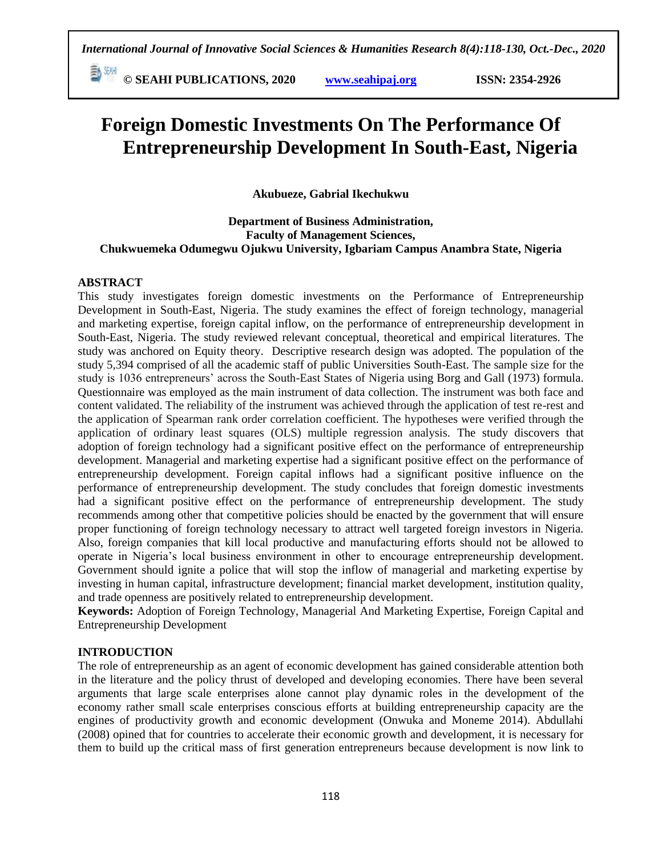**© SEAHI PUBLICATIONS, 2020 [www.seahipaj.org](http://www.seahipaj.org/) ISSN: 2354-2926** 

# **Foreign Domestic Investments On The Performance Of Entrepreneurship Development In South-East, Nigeria**

**Akubueze, Gabrial Ikechukwu**

#### **Department of Business Administration, Faculty of Management Sciences, Chukwuemeka Odumegwu Ojukwu University, Igbariam Campus Anambra State, Nigeria**

#### **ABSTRACT**

This study investigates foreign domestic investments on the Performance of Entrepreneurship Development in South-East, Nigeria. The study examines the effect of foreign technology, managerial and marketing expertise, foreign capital inflow, on the performance of entrepreneurship development in South-East, Nigeria. The study reviewed relevant conceptual, theoretical and empirical literatures. The study was anchored on Equity theory. Descriptive research design was adopted. The population of the study 5,394 comprised of all the academic staff of public Universities South-East. The sample size for the study is 1036 entrepreneurs' across the South-East States of Nigeria using Borg and Gall (1973) formula. Questionnaire was employed as the main instrument of data collection. The instrument was both face and content validated. The reliability of the instrument was achieved through the application of test re-rest and the application of Spearman rank order correlation coefficient. The hypotheses were verified through the application of ordinary least squares (OLS) multiple regression analysis. The study discovers that adoption of foreign technology had a significant positive effect on the performance of entrepreneurship development. Managerial and marketing expertise had a significant positive effect on the performance of entrepreneurship development. Foreign capital inflows had a significant positive influence on the performance of entrepreneurship development. The study concludes that foreign domestic investments had a significant positive effect on the performance of entrepreneurship development. The study recommends among other that competitive policies should be enacted by the government that will ensure proper functioning of foreign technology necessary to attract well targeted foreign investors in Nigeria. Also, foreign companies that kill local productive and manufacturing efforts should not be allowed to operate in Nigeria's local business environment in other to encourage entrepreneurship development. Government should ignite a police that will stop the inflow of managerial and marketing expertise by investing in human capital, infrastructure development; financial market development, institution quality, and trade openness are positively related to entrepreneurship development.

**Keywords:** Adoption of Foreign Technology, Managerial And Marketing Expertise, Foreign Capital and Entrepreneurship Development

#### **INTRODUCTION**

The role of entrepreneurship as an agent of economic development has gained considerable attention both in the literature and the policy thrust of developed and developing economies. There have been several arguments that large scale enterprises alone cannot play dynamic roles in the development of the economy rather small scale enterprises conscious efforts at building entrepreneurship capacity are the engines of productivity growth and economic development (Onwuka and Moneme 2014). Abdullahi (2008) opined that for countries to accelerate their economic growth and development, it is necessary for them to build up the critical mass of first generation entrepreneurs because development is now link to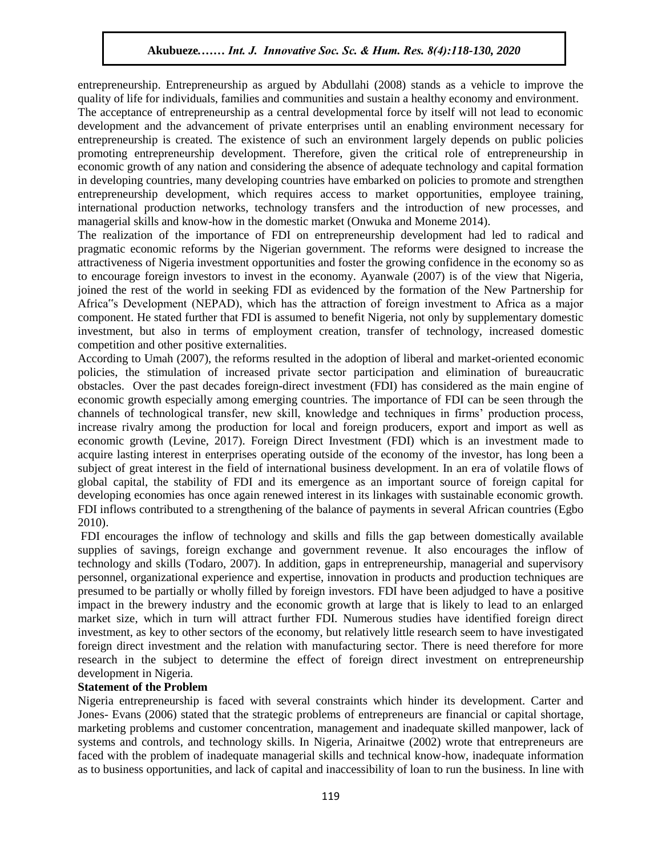entrepreneurship. Entrepreneurship as argued by Abdullahi (2008) stands as a vehicle to improve the entepreneurship. Entepreneurship as argued by Abdurian (2000) stands as a venience to improve the quality of life for individuals, families and communities and sustain a healthy economy and environment.

The acceptance of entrepreneurship as a central developmental force by itself will not lead to economic development and the advancement of private enterprises until an enabling environment necessary for entrepreneurship is created. The existence of such an environment largely depends on public policies promoting entrepreneurship development. Therefore, given the critical role of entrepreneurship in economic growth of any nation and considering the absence of adequate technology and capital formation in developing countries, many developing countries have embarked on policies to promote and strengthen entrepreneurship development, which requires access to market opportunities, employee training, international production networks, technology transfers and the introduction of new processes, and managerial skills and know-how in the domestic market (Onwuka and Moneme 2014).

The realization of the importance of FDI on entrepreneurship development had led to radical and pragmatic economic reforms by the Nigerian government. The reforms were designed to increase the attractiveness of Nigeria investment opportunities and foster the growing confidence in the economy so as to encourage foreign investors to invest in the economy. Ayanwale (2007) is of the view that Nigeria, joined the rest of the world in seeking FDI as evidenced by the formation of the New Partnership for Africa"s Development (NEPAD), which has the attraction of foreign investment to Africa as a major component. He stated further that FDI is assumed to benefit Nigeria, not only by supplementary domestic investment, but also in terms of employment creation, transfer of technology, increased domestic competition and other positive externalities.

According to Umah (2007), the reforms resulted in the adoption of liberal and market-oriented economic policies, the stimulation of increased private sector participation and elimination of bureaucratic obstacles. Over the past decades foreign-direct investment (FDI) has considered as the main engine of economic growth especially among emerging countries. The importance of FDI can be seen through the channels of technological transfer, new skill, knowledge and techniques in firms' production process, increase rivalry among the production for local and foreign producers, export and import as well as economic growth (Levine, 2017). Foreign Direct Investment (FDI) which is an investment made to acquire lasting interest in enterprises operating outside of the economy of the investor, has long been a subject of great interest in the field of international business development. In an era of volatile flows of global capital, the stability of FDI and its emergence as an important source of foreign capital for developing economies has once again renewed interest in its linkages with sustainable economic growth. FDI inflows contributed to a strengthening of the balance of payments in several African countries (Egbo 2010).

FDI encourages the inflow of technology and skills and fills the gap between domestically available supplies of savings, foreign exchange and government revenue. It also encourages the inflow of technology and skills (Todaro, 2007). In addition, gaps in entrepreneurship, managerial and supervisory personnel, organizational experience and expertise, innovation in products and production techniques are presumed to be partially or wholly filled by foreign investors. FDI have been adjudged to have a positive impact in the brewery industry and the economic growth at large that is likely to lead to an enlarged market size, which in turn will attract further FDI. Numerous studies have identified foreign direct investment, as key to other sectors of the economy, but relatively little research seem to have investigated foreign direct investment and the relation with manufacturing sector. There is need therefore for more research in the subject to determine the effect of foreign direct investment on entrepreneurship development in Nigeria.

#### **Statement of the Problem**

Nigeria entrepreneurship is faced with several constraints which hinder its development. Carter and Jones- Evans (2006) stated that the strategic problems of entrepreneurs are financial or capital shortage, marketing problems and customer concentration, management and inadequate skilled manpower, lack of systems and controls, and technology skills. In Nigeria, Arinaitwe (2002) wrote that entrepreneurs are faced with the problem of inadequate managerial skills and technical know-how, inadequate information as to business opportunities, and lack of capital and inaccessibility of loan to run the business. In line with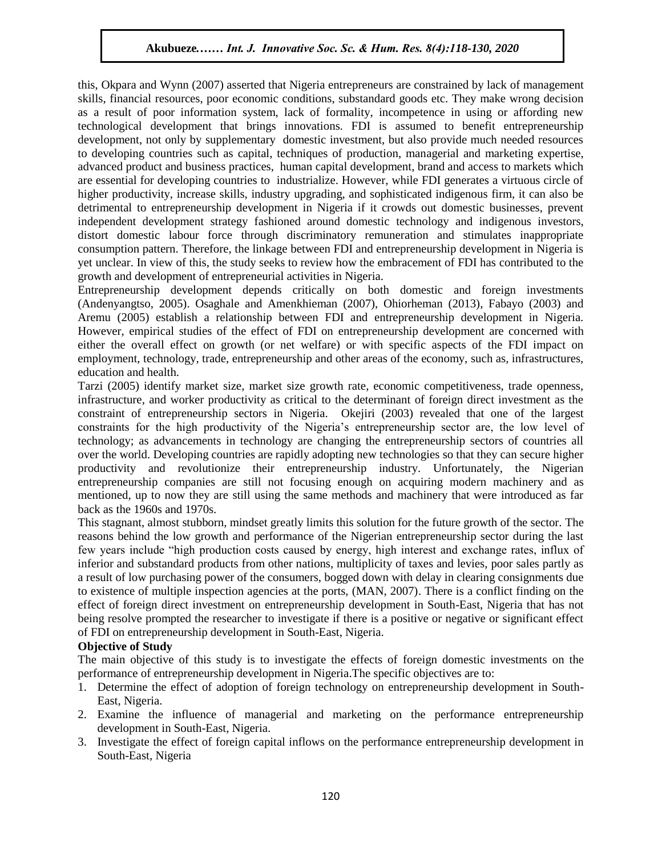this, Okpara and Wynn (2007) asserted that Nigeria entrepreneurs are constrained by lack of management this, Okpara and Wynn (2007) asserted that Nigeria entrepreneurs are constrained by fack of management<br>skills, financial resources, poor economic conditions, substandard goods etc. They make wrong decision as a result of poor information system, lack of formality, incompetence in using or affording new technological development that brings innovations. FDI is assumed to benefit entrepreneurship development, not only by supplementary domestic investment, but also provide much needed resources development, not only by supplementary domestic investment, but also provide much needed resources to developing countries such as capital, techniques of production, managerial and marketing expertise, advanced product and business practices, human capital development, brand and access to markets which are essential for developing countries to industrialize. However, while FDI generates a virtuous circle of higher productivity, increase skills, industry upgrading, and sophisticated indigenous firm, it can also be detrimental to entrepreneurship development in Nigeria if it crowds out domestic businesses, prevent independent development strategy fashioned around domestic technology and indigenous investors, distort domestic labour force through discriminatory remuneration and stimulates inappropriate consumption pattern. Therefore, the linkage between FDI and entrepreneurship development in Nigeria is yet unclear. In view of this, the study seeks to review how the embracement of FDI has contributed to the growth and development of entrepreneurial activities in Nigeria.

Entrepreneurship development depends critically on both domestic and foreign investments  $(Andenyangtso, 2005)$ . Osaghale and Amenkhieman (2007), Ohiorheman (2013), Fabayo (2003) and Aremu (2005) establish a relationship between FDI and entrepreneurship development in Nigeria. However, empirical studies of the effect of FDI on entrepreneurship development are concerned with either the overall effect on growth (or net welfare) or with specific aspects of the FDI impact on employment, technology, trade, entrepreneurship and other areas of the economy, such as, infrastructures, education and health.

Tarzi (2005) identify market size, market size growth rate, economic competitiveness, trade openness, infrastructure, and worker productivity as critical to the determinant of foreign direct investment as the constraint of entrepreneurship sectors in Nigeria. Okejiri (2003) revealed that one of the largest constraints for the high productivity of the Nigeria's entrepreneurship sector are, the low level of technology; as advancements in technology are changing the entrepreneurship sectors of countries all over the world. Developing countries are rapidly adopting new technologies so that they can secure higher productivity and revolutionize their entrepreneurship industry. Unfortunately, the Nigerian entrepreneurship companies are still not focusing enough on acquiring modern machinery and as mentioned, up to now they are still using the same methods and machinery that were introduced as far back as the 1960s and 1970s.

This stagnant, almost stubborn, mindset greatly limits this solution for the future growth of the sector. The reasons behind the low growth and performance of the Nigerian entrepreneurship sector during the last few years include "high production costs caused by energy, high interest and exchange rates, influx of inferior and substandard products from other nations, multiplicity of taxes and levies, poor sales partly as a result of low purchasing power of the consumers, bogged down with delay in clearing consignments due to existence of multiple inspection agencies at the ports, (MAN, 2007). There is a conflict finding on the effect of foreign direct investment on entrepreneurship development in South-East, Nigeria that has not being resolve prompted the researcher to investigate if there is a positive or negative or significant effect of FDI on entrepreneurship development in South-East, Nigeria.

#### **Objective of Study**

The main objective of this study is to investigate the effects of foreign domestic investments on the performance of entrepreneurship development in Nigeria.The specific objectives are to:

- 1. Determine the effect of adoption of foreign technology on entrepreneurship development in South-East, Nigeria.
- 2. Examine the influence of managerial and marketing on the performance entrepreneurship development in South-East, Nigeria.
- 3. Investigate the effect of foreign capital inflows on the performance entrepreneurship development in South-East, Nigeria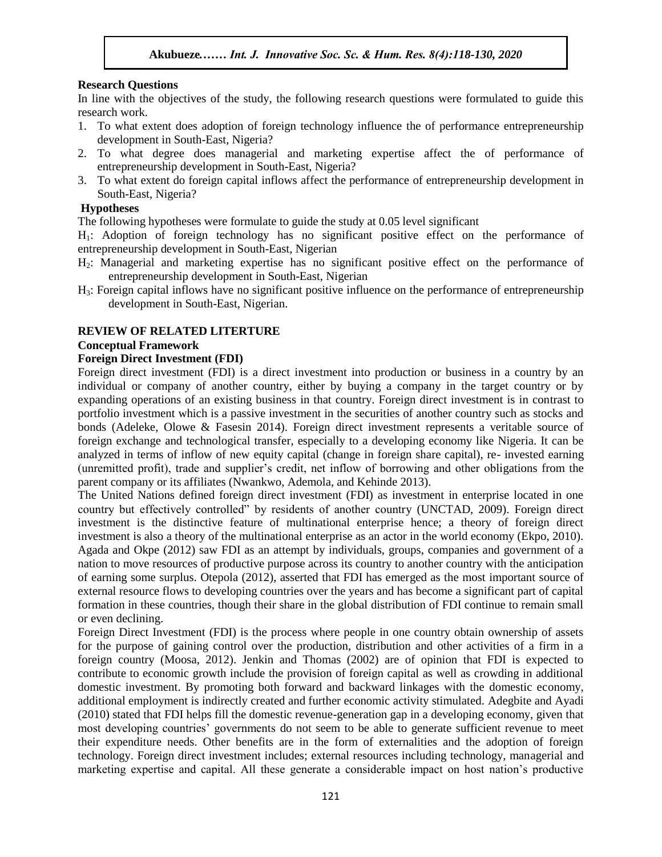#### **Research Questions**

In line with the objectives of the study, the following research questions were formulated to guide this research work.

- 1. To what extent does adoption of foreign technology influence the of performance entrepreneurship development in South-East, Nigeria?
- 2. To what degree does managerial and marketing expertise affect the of performance of entrepreneurship development in South-East, Nigeria?
- 3. To what extent do foreign capital inflows affect the performance of entrepreneurship development in South-East, Nigeria?

#### **Hypotheses**

The following hypotheses were formulate to guide the study at 0.05 level significant

H1: Adoption of foreign technology has no significant positive effect on the performance of entrepreneurship development in South-East, Nigerian

- $H_2$ : Managerial and marketing expertise has no significant positive effect on the performance of entrepreneurship development in South-East, Nigerian
- H3: Foreign capital inflows have no significant positive influence on the performance of entrepreneurship development in South-East, Nigerian.

#### **REVIEW OF RELATED LITERTURE**

# **Conceptual Framework 2021**

#### **Foreign Direct Investment (FDI)**

Foreign direct investment (FDI) is a direct investment into production or business in a country by an individual or company of another country, either by buying a company in the target country or by expanding operations of an existing business in that country. Foreign direct investment is in contrast to portfolio investment which is a passive investment in the securities of another country such as stocks and bonds (Adeleke, Olowe & Fasesin 2014). Foreign direct investment represents a veritable source of foreign exchange and technological transfer, especially to a developing economy like Nigeria. It can be analyzed in terms of inflow of new equity capital (change in foreign share capital), re- invested earning (unremitted profit), trade and supplier's credit, net inflow of borrowing and other obligations from the parent company or its affiliates (Nwankwo, Ademola, and Kehinde 2013).

The United Nations defined foreign direct investment (FDI) as investment in enterprise located in one country but effectively controlled" by residents of another country (UNCTAD, 2009). Foreign direct investment is the distinctive feature of multinational enterprise hence; a theory of foreign direct investment is also a theory of the multinational enterprise as an actor in the world economy (Ekpo, 2010). Agada and Okpe (2012) saw FDI as an attempt by individuals, groups, companies and government of a nation to move resources of productive purpose across its country to another country with the anticipation of earning some surplus. Otepola (2012), asserted that FDI has emerged as the most important source of external resource flows to developing countries over the years and has become a significant part of capital formation in these countries, though their share in the global distribution of FDI continue to remain small or even declining.

Foreign Direct Investment (FDI) is the process where people in one country obtain ownership of assets for the purpose of gaining control over the production, distribution and other activities of a firm in a foreign country (Moosa, 2012). Jenkin and Thomas (2002) are of opinion that FDI is expected to contribute to economic growth include the provision of foreign capital as well as crowding in additional domestic investment. By promoting both forward and backward linkages with the domestic economy, additional employment is indirectly created and further economic activity stimulated. Adegbite and Ayadi (2010) stated that FDI helps fill the domestic revenue-generation gap in a developing economy, given that most developing countries' governments do not seem to be able to generate sufficient revenue to meet their expenditure needs. Other benefits are in the form of externalities and the adoption of foreign technology. Foreign direct investment includes; external resources including technology, managerial and marketing expertise and capital. All these generate a considerable impact on host nation's productive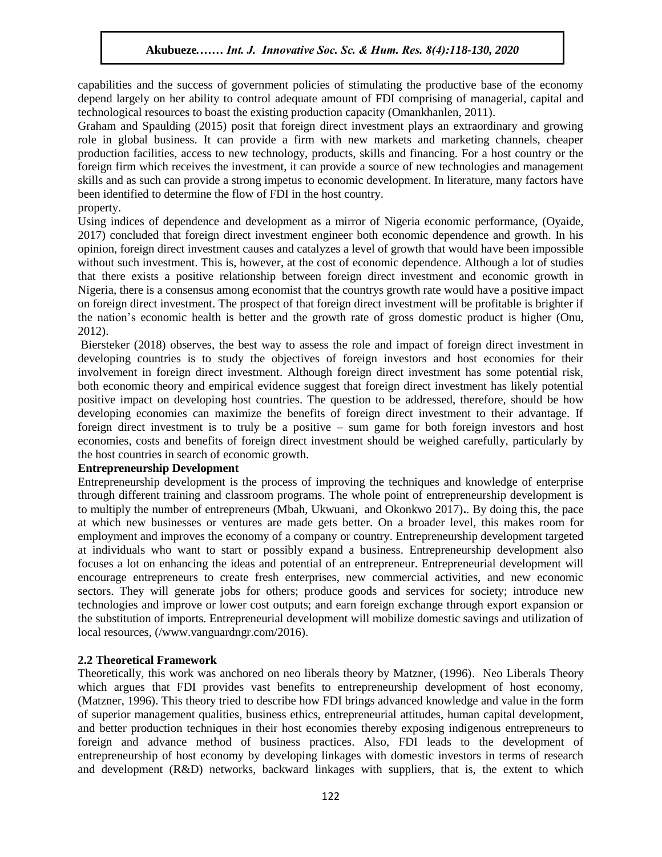capabilities and the success of government policies of stimulating the productive base of the economy edpabilities and the success of government ponetes of summaring the productive base of the economy depend largely on her ability to control adequate amount of FDI comprising of managerial, capital and technological resources to boast the existing production capacity (Omankhanlen, 2011).

Graham and Spaulding (2015) posit that foreign direct investment plays an extraordinary and growing role in global business. It can provide a firm with new markets and marketing channels, cheaper ole in global business. It can provide a firm with new markets and marketing channels, cheaper production facilities, access to new technology, products, skills and financing. For a host country or the foreign firm which receives the investment, it can provide a source of new technologies and management skills and as such can provide a strong impetus to economic development. In literature, many factors have been identified to determine the flow of FDI in the host country. property.

Using indices of dependence and development as a mirror of Nigeria economic performance, (Oyaide, 2017) concluded that foreign direct investment engineer both economic dependence and growth. In his opinion, foreign direct investment causes and catalyzes a level of growth that would have been impossible without such investment. This is, however, at the cost of economic dependence. Although a lot of studies that there exists a positive relationship between foreign direct investment and economic growth in Nigeria, there is a consensus among economist that the countrys growth rate would have a positive impact on foreign direct investment. The prospect of that foreign direct investment will be profitable is brighter if the nation's economic health is better and the growth rate of gross domestic product is higher (Onu, 2012).

Biersteker (2018) observes, the best way to assess the role and impact of foreign direct investment in developing countries is to study the objectives of foreign investors and host economies for their involvement in foreign direct investment. Although foreign direct investment has some potential risk, both economic theory and empirical evidence suggest that foreign direct investment has likely potential positive impact on developing host countries. The question to be addressed, therefore, should be how developing economies can maximize the benefits of foreign direct investment to their advantage. If foreign direct investment is to truly be a positive – sum game for both foreign investors and host economies, costs and benefits of foreign direct investment should be weighed carefully, particularly by the host countries in search of economic growth.

#### **Entrepreneurship Development**

Entrepreneurship development is the process of improving the techniques and knowledge of enterprise through different training and classroom programs. The whole point of entrepreneurship development is to multiply the number of entrepreneurs (Mbah, Ukwuani, and Okonkwo 2017)**.**. By doing this, the pace at which new businesses or ventures are made gets better. On a broader level, this makes room for employment and improves the economy of a company or country. Entrepreneurship development targeted at individuals who want to start or possibly expand a business. Entrepreneurship development also focuses a lot on enhancing the ideas and potential of an entrepreneur. Entrepreneurial development will encourage entrepreneurs to create fresh enterprises, new commercial activities, and new economic sectors. They will generate jobs for others; produce goods and services for society; introduce new technologies and improve or lower cost outputs; and earn foreign exchange through export expansion or the substitution of imports. Entrepreneurial development will mobilize domestic savings and utilization of local resources, (/www.vanguardngr.com/2016).

#### **2.2 Theoretical Framework**

Theoretically, this work was anchored on neo liberals theory by Matzner, (1996). Neo Liberals Theory which argues that FDI provides vast benefits to entrepreneurship development of host economy, (Matzner, 1996). This theory tried to describe how FDI brings advanced knowledge and value in the form of superior management qualities, business ethics, entrepreneurial attitudes, human capital development, and better production techniques in their host economies thereby exposing indigenous entrepreneurs to foreign and advance method of business practices. Also, FDI leads to the development of entrepreneurship of host economy by developing linkages with domestic investors in terms of research and development (R&D) networks, backward linkages with suppliers, that is, the extent to which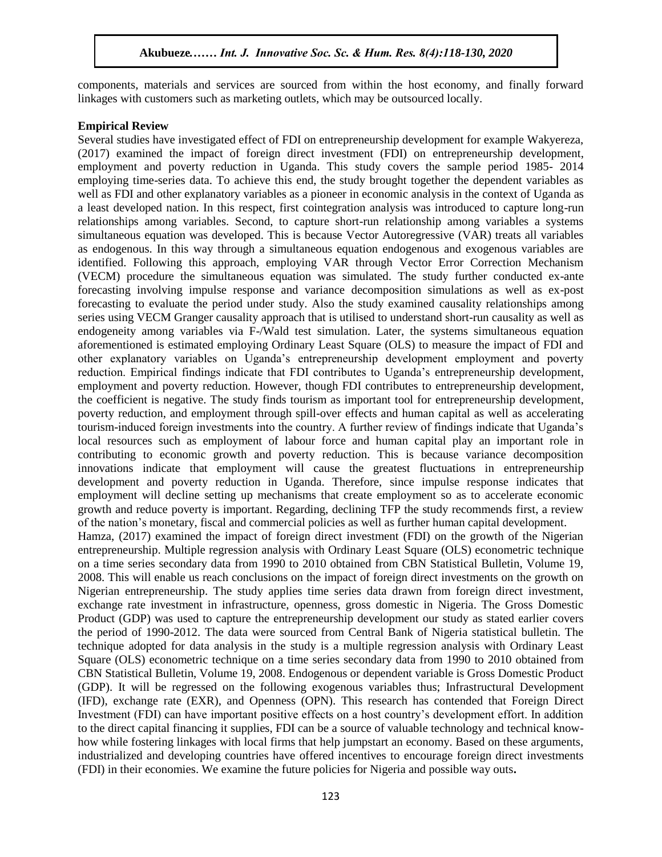components, materials and services are sourced from within the host economy, and finally forward  $\frac{1}{2}$ linkages with customers such as marketing outlets, which may be outsourced locally.

#### **Empirical Review**

Several studies have investigated effect of FDI on entrepreneurship development for example Wakyereza, (2017) examined the impact of foreign direct investment (FDI) on entrepreneurship development, employment and poverty reduction in Uganda. This study covers the sample period 1985- 2014 employing time-series data. To achieve this end, the study brought together the dependent variables as well as FDI and other explanatory variables as a pioneer in economic analysis in the context of Uganda as a least developed nation. In this respect, first cointegration analysis was introduced to capture long-run relationships among variables. Second, to capture short-run relationship among variables a systems simultaneous equation was developed. This is because Vector Autoregressive (VAR) treats all variables as endogenous. In this way through a simultaneous equation endogenous and exogenous variables are identified. Following this approach, employing VAR through Vector Error Correction Mechanism (VECM) procedure the simultaneous equation was simulated. The study further conducted ex-ante forecasting involving impulse response and variance decomposition simulations as well as ex-post forecasting to evaluate the period under study. Also the study examined causality relationships among series using VECM Granger causality approach that is utilised to understand short-run causality as well as endogeneity among variables via F-/Wald test simulation. Later, the systems simultaneous equation aforementioned is estimated employing Ordinary Least Square (OLS) to measure the impact of FDI and other explanatory variables on Uganda's entrepreneurship development employment and poverty reduction. Empirical findings indicate that FDI contributes to Uganda's entrepreneurship development, employment and poverty reduction. However, though FDI contributes to entrepreneurship development, the coefficient is negative. The study finds tourism as important tool for entrepreneurship development, poverty reduction, and employment through spill-over effects and human capital as well as accelerating tourism-induced foreign investments into the country. A further review of findings indicate that Uganda's local resources such as employment of labour force and human capital play an important role in contributing to economic growth and poverty reduction. This is because variance decomposition innovations indicate that employment will cause the greatest fluctuations in entrepreneurship development and poverty reduction in Uganda. Therefore, since impulse response indicates that employment will decline setting up mechanisms that create employment so as to accelerate economic growth and reduce poverty is important. Regarding, declining TFP the study recommends first, a review of the nation's monetary, fiscal and commercial policies as well as further human capital development. Hamza, (2017) examined the impact of foreign direct investment (FDI) on the growth of the Nigerian entrepreneurship. Multiple regression analysis with Ordinary Least Square (OLS) econometric technique on a time series secondary data from 1990 to 2010 obtained from CBN Statistical Bulletin, Volume 19, 2008. This will enable us reach conclusions on the impact of foreign direct investments on the growth on Nigerian entrepreneurship. The study applies time series data drawn from foreign direct investment, exchange rate investment in infrastructure, openness, gross domestic in Nigeria. The Gross Domestic Product (GDP) was used to capture the entrepreneurship development our study as stated earlier covers the period of 1990-2012. The data were sourced from Central Bank of Nigeria statistical bulletin. The technique adopted for data analysis in the study is a multiple regression analysis with Ordinary Least Square (OLS) econometric technique on a time series secondary data from 1990 to 2010 obtained from CBN Statistical Bulletin, Volume 19, 2008. Endogenous or dependent variable is Gross Domestic Product (GDP). It will be regressed on the following exogenous variables thus; Infrastructural Development (IFD), exchange rate (EXR), and Openness (OPN). This research has contended that Foreign Direct Investment (FDI) can have important positive effects on a host country's development effort. In addition to the direct capital financing it supplies, FDI can be a source of valuable technology and technical knowhow while fostering linkages with local firms that help jumpstart an economy. Based on these arguments, industrialized and developing countries have offered incentives to encourage foreign direct investments (FDI) in their economies. We examine the future policies for Nigeria and possible way outs**.**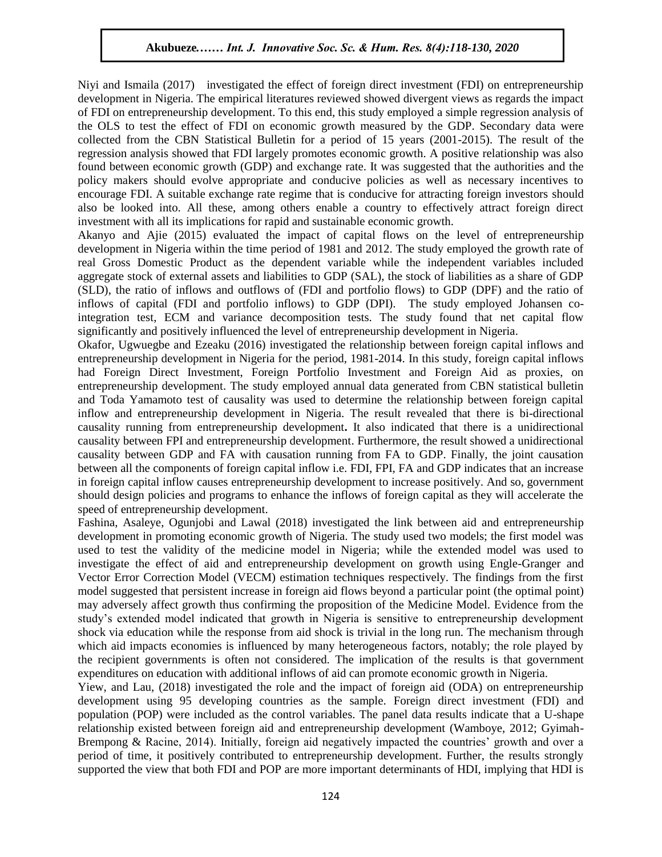Niyi and Ismaila (2017) investigated the effect of foreign direct investment (FDI) on entrepreneurship development in Nigeria. The empirical literatures reviewed showed divergent views as regards the impact of FDI on entrepreneurship development. To this end, this study employed a simple regression analysis of the OLS to test the effect of FDI on economic growth measured by the GDP. Secondary data were  $\frac{1}{2}$ .  $\frac{1}{2}$ collected from the CBN Statistical Bulletin for a period of 15 years (2001-2015). The result of the regression analysis showed that FDI largely promotes economic growth. A positive relationship was also found between economic growth (GDP) and exchange rate. It was suggested that the authorities and the policy makers should evolve appropriate and conducive policies as well as necessary incentives to policy makers should evolve appropriate and conducive policies as well as necessary incentives to encourage FDI. A suitable exchange rate regime that is conducive for attracting foreign investors should also be looked into. All these, among others enable a country to effectively attract foreign direct investment with all its implications for rapid and sustainable economic growth.

Akanyo and Ajie (2015) evaluated the impact of capital flows on the level of entrepreneurship development in Nigeria within the time period of 1981 and 2012. The study employed the growth rate of real Gross Domestic Product as the dependent variable while the independent variables included real aggregate stock of external assets and liabilities to GDP (SAL), the stock of liabilities as a share of GDP (SLD), the ratio of inflows and outflows of (FDI and portfolio flows) to GDP (DPF) and the ratio of inflows of capital (FDI and portfolio inflows) to GDP (DPI). The study employed Johansen cointegration test, ECM and variance decomposition tests. The study found that net capital flow significantly and positively influenced the level of entrepreneurship development in Nigeria.

Okafor, Ugwuegbe and Ezeaku (2016) investigated the relationship between foreign capital inflows and entrepreneurship development in Nigeria for the period, 1981-2014. In this study, foreign capital inflows had Foreign Direct Investment, Foreign Portfolio Investment and Foreign Aid as proxies, on entrepreneurship development. The study employed annual data generated from CBN statistical bulletin and Toda Yamamoto test of causality was used to determine the relationship between foreign capital inflow and entrepreneurship development in Nigeria. The result revealed that there is bi-directional causality running from entrepreneurship development**.** It also indicated that there is a unidirectional causality between FPI and entrepreneurship development. Furthermore, the result showed a unidirectional causality between GDP and FA with causation running from FA to GDP. Finally, the joint causation between all the components of foreign capital inflow i.e. FDI, FPI, FA and GDP indicates that an increase in foreign capital inflow causes entrepreneurship development to increase positively. And so, government should design policies and programs to enhance the inflows of foreign capital as they will accelerate the speed of entrepreneurship development.

Fashina, Asaleye, Ogunjobi and Lawal (2018) investigated the link between aid and entrepreneurship development in promoting economic growth of Nigeria. The study used two models; the first model was used to test the validity of the medicine model in Nigeria; while the extended model was used to investigate the effect of aid and entrepreneurship development on growth using Engle-Granger and Vector Error Correction Model (VECM) estimation techniques respectively. The findings from the first model suggested that persistent increase in foreign aid flows beyond a particular point (the optimal point) may adversely affect growth thus confirming the proposition of the Medicine Model. Evidence from the study's extended model indicated that growth in Nigeria is sensitive to entrepreneurship development shock via education while the response from aid shock is trivial in the long run. The mechanism through which aid impacts economies is influenced by many heterogeneous factors, notably; the role played by the recipient governments is often not considered. The implication of the results is that government expenditures on education with additional inflows of aid can promote economic growth in Nigeria.

Yiew, and Lau, (2018) investigated the role and the impact of foreign aid (ODA) on entrepreneurship development using 95 developing countries as the sample. Foreign direct investment (FDI) and population (POP) were included as the control variables. The panel data results indicate that a U-shape relationship existed between foreign aid and entrepreneurship development (Wamboye, 2012; Gyimah-Brempong & Racine, 2014). Initially, foreign aid negatively impacted the countries' growth and over a period of time, it positively contributed to entrepreneurship development. Further, the results strongly supported the view that both FDI and POP are more important determinants of HDI, implying that HDI is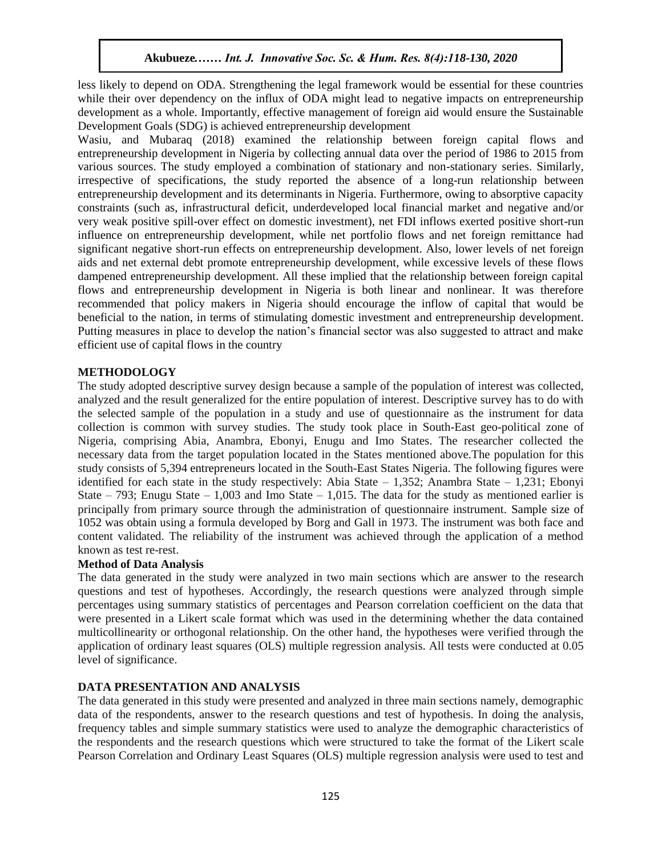less likely to depend on ODA. Strengthening the legal framework would be essential for these countries while their over dependency on the influx of ODA might lead to negative impacts on entrepreneurship development as a whole. Importantly, effective management of foreign aid would ensure the Sustainable Development Goals (SDG) is achieved entrepreneurship development

Wasiu, and Mubaraq (2018) examined the relationship between foreign capital flows and entrepreneurship development in Nigeria by collecting annual data over the period of 1986 to 2015 from various sources. The study employed a combination of stationary and non-stationary series. Similarly, irrespective of specifications, the study reported the absence of a long-run relationship between entrepreneurship development and its determinants in Nigeria. Furthermore, owing to absorptive capacity constraints (such as, infrastructural deficit, underdeveloped local financial market and negative and/or very weak positive spill-over effect on domestic investment), net FDI inflows exerted positive short-run influence on entrepreneurship development, while net portfolio flows and net foreign remittance had significant negative short-run effects on entrepreneurship development. Also, lower levels of net foreign aids and net external debt promote entrepreneurship development, while excessive levels of these flows dampened entrepreneurship development. All these implied that the relationship between foreign capital flows and entrepreneurship development in Nigeria is both linear and nonlinear. It was therefore recommended that policy makers in Nigeria should encourage the inflow of capital that would be recommended that policy makers in integria should encourage the inflow of capital that would be beneficial to the nation, in terms of stimulating domestic investment and entrepreneurship development. Putting measures in place to develop the nation's financial sector was also suggested to attract and make efficient use of capital flows in the country

#### **METHODOLOGY**

The study adopted descriptive survey design because a sample of the population of interest was collected, analyzed and the result generalized for the entire population of interest. Descriptive survey has to do with the selected sample of the population in a study and use of questionnaire as the instrument for data collection is common with survey studies. The study took place in South-East geo-political zone of Nigeria, comprising Abia, Anambra, Ebonyi, Enugu and Imo States. The researcher collected the necessary data from the target population located in the States mentioned above.The population for this study consists of 5,394 entrepreneurs located in the South-East States Nigeria. The following figures were identified for each state in the study respectively: Abia State – 1,352; Anambra State – 1,231; Ebonyi State – 793; Enugu State – 1,003 and Imo State – 1,015. The data for the study as mentioned earlier is principally from primary source through the administration of questionnaire instrument. Sample size of 1052 was obtain using a formula developed by Borg and Gall in 1973. The instrument was both face and content validated. The reliability of the instrument was achieved through the application of a method known as test re-rest.

#### **Method of Data Analysis**

The data generated in the study were analyzed in two main sections which are answer to the research questions and test of hypotheses. Accordingly, the research questions were analyzed through simple percentages using summary statistics of percentages and Pearson correlation coefficient on the data that were presented in a Likert scale format which was used in the determining whether the data contained multicollinearity or orthogonal relationship. On the other hand, the hypotheses were verified through the application of ordinary least squares (OLS) multiple regression analysis. All tests were conducted at 0.05 level of significance.

#### **DATA PRESENTATION AND ANALYSIS**

The data generated in this study were presented and analyzed in three main sections namely, demographic data of the respondents, answer to the research questions and test of hypothesis. In doing the analysis, frequency tables and simple summary statistics were used to analyze the demographic characteristics of the respondents and the research questions which were structured to take the format of the Likert scale Pearson Correlation and Ordinary Least Squares (OLS) multiple regression analysis were used to test and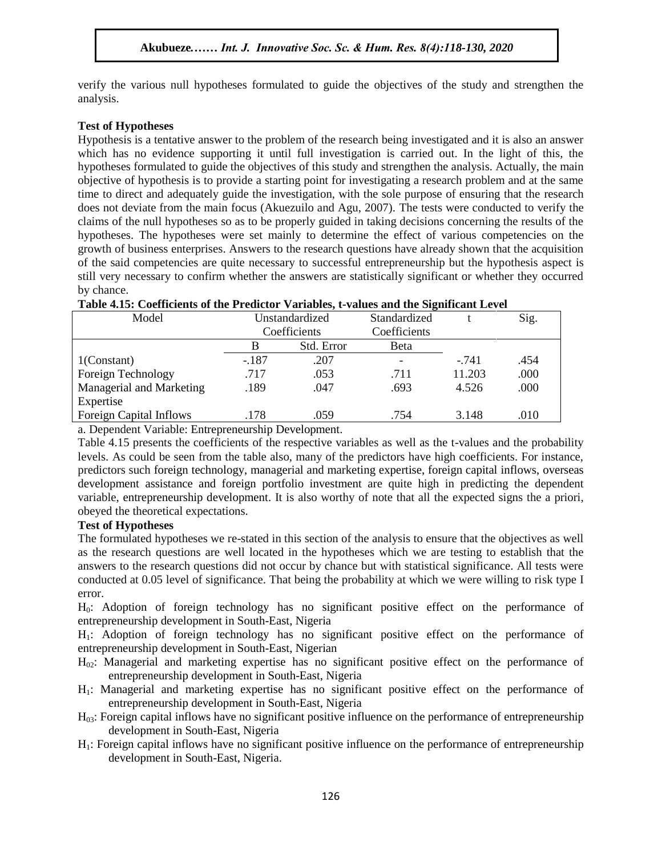verify the various null hypotheses formulated to guide the objectives of the study and strengthen the analysis.

#### **Test of Hypotheses**

Test of Hypotheses<br>Hypothesis is a tentative answer to the problem of the research being investigated and it is also an answer which has no evidence supporting it until full investigation is carried out. In the light of this, the hypotheses formulated to guide the objectives of this study and strengthen the analysis. Actually, the main ny points is to minimized to guide the objectives of this study and strengthen the analysis. Actually, the main<br>objective of hypothesis is to provide a starting point for investigating a research problem and at the same time to direct and adequately guide the investigation, with the sole purpose of ensuring that the research does not deviate from the main focus (Akuezuilo and Agu, 2007). The tests were conducted to verify the claims of the null hypotheses so as to be properly guided in taking decisions concerning the results of the claims of the null hypotheses so as to be properly guided in taking decisions concerning the results of the hypotheses. The hypotheses were set mainly to determine the effect of various competencies on the growth of business enterprises. Answers to the research questions have already shown that the acquisition of the said competencies are quite necessary to successful entrepreneurship but the hypothesis aspect is  $\frac{1}{\sqrt{2}}$ still very necessary to confirm whether the answers are statistically significant or whether they occurred by chance.

| Model                    | Unstandardized |            | Standardized             |        | Sig. |
|--------------------------|----------------|------------|--------------------------|--------|------|
|                          | Coefficients   |            | Coefficients             |        |      |
|                          |                | Std. Error | Beta                     |        |      |
| $1$ (Constant)           | $-.187$        | .207       | $\overline{\phantom{a}}$ | $-741$ | .454 |
| Foreign Technology       | .717           | .053       | .711                     | 11.203 | .000 |
| Managerial and Marketing | .189           | .047       | .693                     | 4.526  | .000 |
| Expertise                |                |            |                          |        |      |
| Foreign Capital Inflows  | .178           | .059       | .754                     | 3.148  | .010 |

## **Table 4.15: Coefficients of the Predictor Variables, t-values and the Significant Level**

a. Dependent Variable: Entrepreneurship Development.

Table 4.15 presents the coefficients of the respective variables as well as the t-values and the probability levels. As could be seen from the table also, many of the predictors have high coefficients. For instance, predictors such foreign technology, managerial and marketing expertise, foreign capital inflows, overseas development assistance and foreign portfolio investment are quite high in predicting the dependent variable, entrepreneurship development. It is also worthy of note that all the expected signs the a priori, obeyed the theoretical expectations.

#### **Test of Hypotheses**

The formulated hypotheses we re-stated in this section of the analysis to ensure that the objectives as well as the research questions are well located in the hypotheses which we are testing to establish that the answers to the research questions did not occur by chance but with statistical significance. All tests were conducted at 0.05 level of significance. That being the probability at which we were willing to risk type I error.

H0: Adoption of foreign technology has no significant positive effect on the performance of entrepreneurship development in South-East, Nigeria

H1: Adoption of foreign technology has no significant positive effect on the performance of entrepreneurship development in South-East, Nigerian

- $H<sub>02</sub>$ : Managerial and marketing expertise has no significant positive effect on the performance of entrepreneurship development in South-East, Nigeria
- H1: Managerial and marketing expertise has no significant positive effect on the performance of entrepreneurship development in South-East, Nigeria
- $H<sub>03</sub>$ : Foreign capital inflows have no significant positive influence on the performance of entrepreneurship development in South-East, Nigeria
- $H_1$ : Foreign capital inflows have no significant positive influence on the performance of entrepreneurship development in South-East, Nigeria.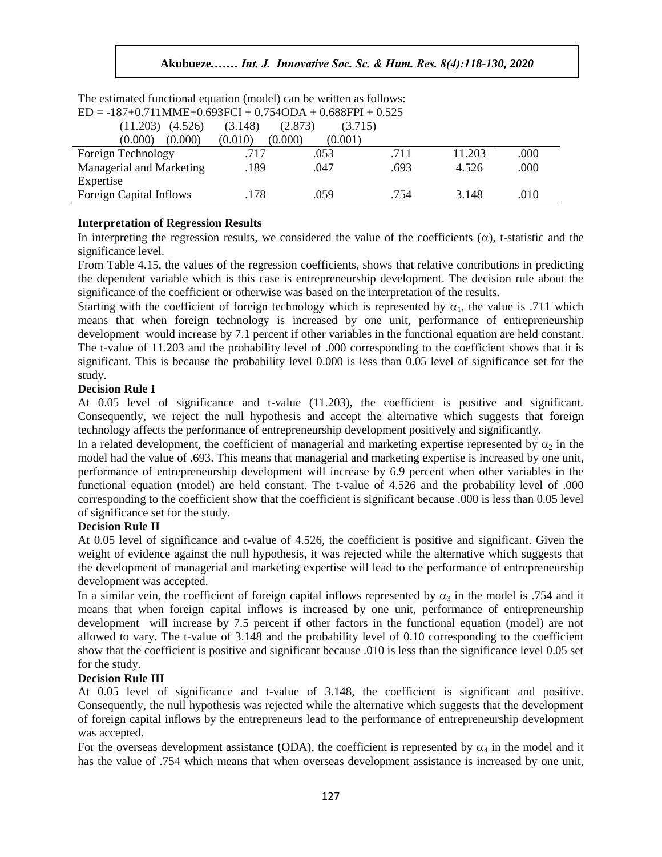| $ED = -18/10$ , $11$ MME+0.693FCI + 0.734ODA + 0.688FPI + 0.525 |         |                    |      |        |      |  |  |  |  |
|-----------------------------------------------------------------|---------|--------------------|------|--------|------|--|--|--|--|
| (4.526)<br>(11.203)                                             | (3.148) | (2.873)<br>(3.715) |      |        |      |  |  |  |  |
| (0.000)<br>(0.000)                                              | (0.010) | (0.000)<br>(0.001) |      |        |      |  |  |  |  |
| Foreign Technology                                              | .717    | .053               | .711 | 11.203 | .000 |  |  |  |  |
| Managerial and Marketing                                        | .189    | .047               | .693 | 4.526  | .000 |  |  |  |  |
| Expertise                                                       |         |                    |      |        |      |  |  |  |  |
| <b>Foreign Capital Inflows</b>                                  | .178    | .059               | .754 | 3.148  | .010 |  |  |  |  |

The estimated functional equation (model) can be written as follows:  $ED = -187+0.711MME+0.693FCI + 0.754ODA + 0.688FPI + 0.525$ 

### **Interpretation of Regression Results**

In interpreting the regression results, we considered the value of the coefficients  $(\alpha)$ , t-statistic and the significance level.

From Table 4.15, the values of the regression coefficients, shows that relative contributions in predicting the dependent variable which is this case is entrepreneurship development. The decision rule about the significance of the coefficient or otherwise was based on the interpretation of the results.

Starting with the coefficient of foreign technology which is represented by  $\alpha_1$ , the value is .711 which means that when foreign technology is increased by one unit, performance of entrepreneurship means that when foreign technology is increased by one unit, performance of entrepreneurship development would increase by 7.1 percent if other variables in the functional equation are held constant. The t-value of 11.203 and the probability level of .000 corresponding to the coefficient shows that it is significant. This is because the probability level  $0.000$  is less than  $0.05$  level of significance set for the study.

#### **Decision Rule I**

At 0.05 level of significance and t-value (11.203), the coefficient is positive and significant. Consequently, we reject the null hypothesis and accept the alternative which suggests that foreign technology affects the performance of entrepreneurship development positively and significantly.

In a related development, the coefficient of managerial and marketing expertise represented by  $\alpha_2$  in the model had the value of .693. This means that managerial and marketing expertise is increased by one unit, performance of entrepreneurship development will increase by 6.9 percent when other variables in the functional equation (model) are held constant. The t-value of 4.526 and the probability level of .000 corresponding to the coefficient show that the coefficient is significant because .000 is less than 0.05 level of significance set for the study.

#### **Decision Rule II**

At 0.05 level of significance and t-value of 4.526, the coefficient is positive and significant. Given the weight of evidence against the null hypothesis, it was rejected while the alternative which suggests that the development of managerial and marketing expertise will lead to the performance of entrepreneurship development was accepted.

In a similar vein, the coefficient of foreign capital inflows represented by  $\alpha_3$  in the model is .754 and it means that when foreign capital inflows is increased by one unit, performance of entrepreneurship development will increase by 7.5 percent if other factors in the functional equation (model) are not allowed to vary. The t-value of 3.148 and the probability level of 0.10 corresponding to the coefficient show that the coefficient is positive and significant because .010 is less than the significance level 0.05 set for the study.

#### **Decision Rule III**

At 0.05 level of significance and t-value of 3.148, the coefficient is significant and positive. Consequently, the null hypothesis was rejected while the alternative which suggests that the development of foreign capital inflows by the entrepreneurs lead to the performance of entrepreneurship development was accepted.

For the overseas development assistance (ODA), the coefficient is represented by  $\alpha_4$  in the model and it has the value of .754 which means that when overseas development assistance is increased by one unit,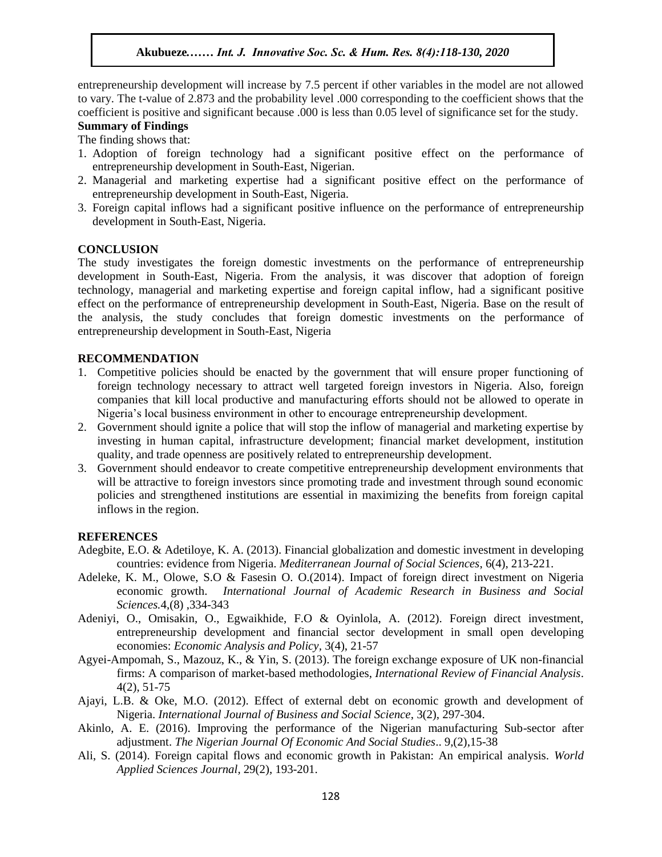entrepreneurship development will increase by 7.5 percent if other variables in the model are not allowed to vary. The t-value of 2.873 and the probability level .000 corresponding to the coefficient shows that the coefficient is positive and significant because .000 is less than 0.05 level of significance set for the study. **Summary of Findings** 

The finding shows that:

- 1. Adoption of foreign technology had a significant positive effect on the performance of entrepreneurship development in South-East, Nigerian.
- 2. Managerial and marketing expertise had a significant positive effect on the performance of entrepreneurship development in South-East, Nigeria.
- 3. Foreign capital inflows had a significant positive influence on the performance of entrepreneurship development in South-East, Nigeria.

#### **CONCLUSION**

The study investigates the foreign domestic investments on the performance of entrepreneurship development in South-East, Nigeria. From the analysis, it was discover that adoption of foreign technology, managerial and marketing expertise and foreign capital inflow, had a significant positive effect on the performance of entrepreneurship development in South-East, Nigeria. Base on the result of the analysis, the study concludes that foreign domestic investments on the performance of entrepreneurship development in South-East, Nigeria

#### **RECOMMENDATION**

- 1. Competitive policies should be enacted by the government that will ensure proper functioning of foreign technology necessary to attract well targeted foreign investors in Nigeria. Also, foreign companies that kill local productive and manufacturing efforts should not be allowed to operate in Nigeria's local business environment in other to encourage entrepreneurship development.
- 2. Government should ignite a police that will stop the inflow of managerial and marketing expertise by investing in human capital, infrastructure development; financial market development, institution quality, and trade openness are positively related to entrepreneurship development.
- 3. Government should endeavor to create competitive entrepreneurship development environments that will be attractive to foreign investors since promoting trade and investment through sound economic policies and strengthened institutions are essential in maximizing the benefits from foreign capital inflows in the region.

#### **REFERENCES**

- Adegbite, E.O. & Adetiloye, K. A. (2013). Financial globalization and domestic investment in developing countries: evidence from Nigeria. *Mediterranean Journal of Social Sciences*, 6(4), 213-221.
- Adeleke, K. M., Olowe, S.O & Fasesin O. O.(2014). Impact of foreign direct investment on Nigeria economic growth. *International Journal of Academic Research in Business and Social Sciences.*4,(8) ,334-343
- Adeniyi, O., Omisakin, O., Egwaikhide, F.O & Oyinlola, A. (2012). Foreign direct investment, entrepreneurship development and financial sector development in small open developing economies: *Economic Analysis and Policy,* 3(4), 21-57
- Agyei-Ampomah, S., Mazouz, K., & Yin, S. (2013). The foreign exchange exposure of UK non-financial firms: A comparison of market-based methodologies, *International Review of Financial Analysis*. 4(2), 51-75
- Ajayi, L.B. & Oke, M.O. (2012). Effect of external debt on economic growth and development of Nigeria. *International Journal of Business and Social Science*, 3(2), 297-304.
- Akinlo, A. E. (2016). Improving the performance of the Nigerian manufacturing Sub-sector after adjustment. *The Nigerian Journal Of Economic And Social Studies*.. 9,(2),15-38
- Ali, S. (2014). Foreign capital flows and economic growth in Pakistan: An empirical analysis. *World Applied Sciences Journal,* 29(2), 193-201.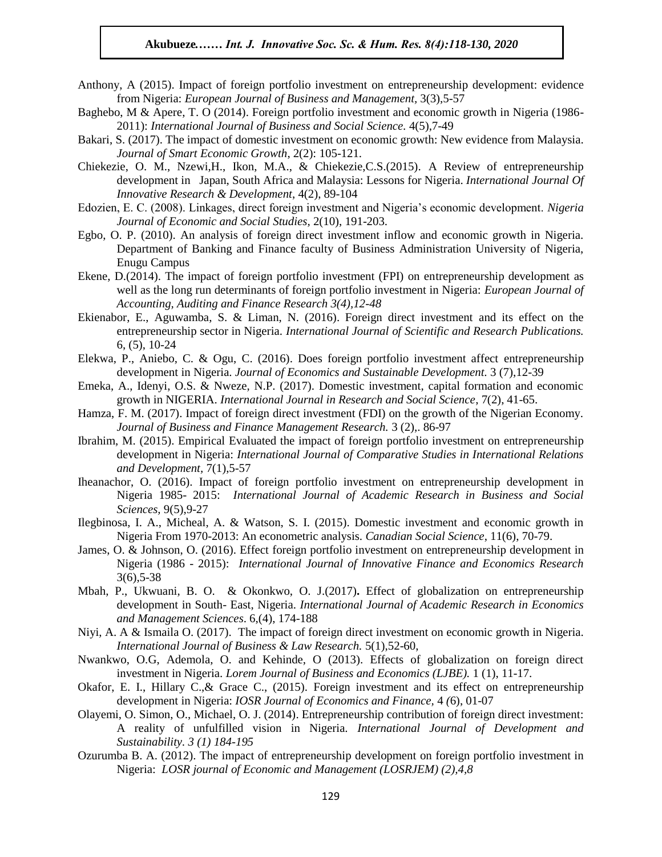- Anthony, A (2015). Impact of foreign portfolio investment on entrepreneurship development: evidence from Nigeria: *European Journal of Business and Management,* 3(3),5-57
- Baghebo, M & Apere, T. O (2014). Foreign portfolio investment and economic growth in Nigeria (1986- 2011): *International Journal of Business and Social Science*. 4(5),7-49
- Bakari, S. (2017). The impact of domestic investment on economic growth: New evidence from Malaysia. *Journal of Smart Economic Growth*, 2(2): 105-121.
- Chiekezie, O. M., Nzewi, H., Ikon, M.A., & Chiekezie, C.S. (2015). A Review of entrepreneurship development in Japan, South Africa and Malaysia: Lessons for Nigeria. *International Journal Of Innovative Research & Development*, 4(2), 89-104
- Edozien, E. C. (2008). Linkages, direct foreign investment and Nigeria's economic development. *Nigeria Journal of Economic and Social Studies,* 2(10), 191-203.
- Egbo, O. P. (2010). An analysis of foreign direct investment inflow and economic growth in Nigeria. Department of Banking and Finance faculty of Business Administration University of Nigeria, Enugu Campus
- Ekene, D.(2014). The impact of foreign portfolio investment (FPI) on entrepreneurship development as well as the long run determinants of foreign portfolio investment in Nigeria: *European Journal of*  wen as the long fun determinants of foreign portiono investment in tyige *Accounting, Auditing and Finance Research* 3(4), 12-48
- Ekienabor, E., Aguwamba, S. & Liman, N. (2016). Foreign direct investment and its effect on the entrepreneurship sector in Nigeria. *International Journal of Scientific and Research Publications.*<br>  $6.6$ , 10.24 6, (5), 10-24
- Elekwa, P., Aniebo, C. & Ogu, C. (2016). Does foreign portfolio investment affect entrepreneurship development in Nigeria. *Journal of Economics and Sustainable Development.* 3 (7),12-39
- Emeka, A., Idenyi, O.S. & Nweze, N.P. (2017). Domestic investment, capital formation and economic growth in NIGERIA. *International Journal in Research and Social Science*, 7(2), 41-65.
- Hamza, F. M. (2017). Impact of foreign direct investment (FDI) on the growth of the Nigerian Economy. *Journal of Business and Finance Management Research.* 3 (2),. 86-97
- Ibrahim, M. (2015). Empirical Evaluated the impact of foreign portfolio investment on entrepreneurship development in Nigeria: *International Journal of Comparative Studies in International Relations and Development,* 7(1),5-57
- Iheanachor, O. (2016). Impact of foreign portfolio investment on entrepreneurship development in Nigeria 1985- 2015: *International Journal of Academic Research in Business and Social Sciences,* 9(5),9-27
- Ilegbinosa, I. A., Micheal, A. & Watson, S. I. (2015). Domestic investment and economic growth in Nigeria From 1970-2013: An econometric analysis. *Canadian Social Science*, 11(6), 70-79.
- James, O. & Johnson, O. (2016). Effect foreign portfolio investment on entrepreneurship development in Nigeria (1986 - 2015): *International Journal of Innovative Finance and Economics Research*  3(6),5-38
- Mbah, P., Ukwuani, B. O. & Okonkwo, O. J.(2017)**.** Effect of globalization on entrepreneurship development in South- East, Nigeria. *International Journal of Academic Research in Economics and Management Sciences*. 6,(4), 174-188
- Niyi, A. A & Ismaila O. (2017). The impact of foreign direct investment on economic growth in Nigeria. *International Journal of Business & Law Research.* 5(1),52-60,
- Nwankwo, O.G, Ademola, O. and Kehinde, O (2013). Effects of globalization on foreign direct investment in Nigeria. *Lorem Journal of Business and Economics (LJBE).* 1 (1), 11-17.
- Okafor, E. I., Hillary C.,& Grace C., (2015). Foreign investment and its effect on entrepreneurship development in Nigeria: *IOSR Journal of Economics and Finance,* 4 *(*6), 01-07
- Olayemi, O. Simon, O., Michael, O. J. (2014). Entrepreneurship contribution of foreign direct investment: A reality of unfulfilled vision in Nigeria. *International Journal of Development and Sustainability. 3 (1) 184-195*
- Ozurumba B. A. (2012). The impact of entrepreneurship development on foreign portfolio investment in Nigeria: *LOSR journal of Economic and Management (LOSRJEM) (2),4,8*